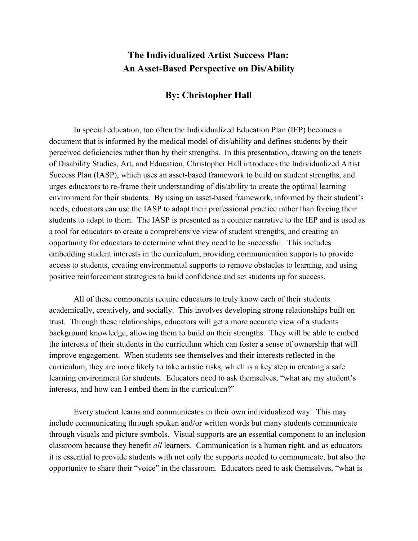## **The Individualized Artist Success Plan: An Asset-Based Perspective on Dis/Ability**

## **By: Christopher Hall**

In special education, too often the Individualized Education Plan (IEP) becomes a document that is informed by the medical model of dis/ability and defines students by their perceived deficiencies rather than by their strengths. In this presentation, drawing on the tenets of Disability Studies, Art, and Education, Christopher Hall introduces the Individualized Artist Success Plan (IASP), which uses an asset-based framework to build on student strengths, and urges educators to re-frame their understanding of dis/ability to create the optimal learning environment for their students. By using an asset-based framework, informed by their student's needs, educators can use the IASP to adapt their professional practice rather than forcing their students to adapt to them. The IASP is presented as a counter narrative to the IEP and is used as a tool for educators to create a comprehensive view of student strengths, and creating an opportunity for educators to determine what they need to be successful. This includes embedding student interests in the curriculum, providing communication supports to provide access to students, creating environmental supports to remove obstacles to learning, and using positive reinforcement strategies to build confidence and set students up for success.

All of these components require educators to truly know each of their students academically, creatively, and socially. This involves developing strong relationships built on trust. Through these relationships, educators will get a more accurate view of a students background knowledge, allowing them to build on their strengths. They will be able to embed the interests of their students in the curriculum which can foster a sense of ownership that will improve engagement. When students see themselves and their interests reflected in the curriculum, they are more likely to take artistic risks, which is a key step in creating a safe learning environment for students. Educators need to ask themselves, "what are my student's interests, and how can I embed them in the curriculum?"

Every student learns and communicates in their own individualized way. This may include communicating through spoken and/or written words but many students communicate through visuals and picture symbols. Visual supports are an essential component to an inclusion classroom because they benefit *all* learners. Communication is a human right, and as educators it is essential to provide students with not only the supports needed to communicate, but also the opportunity to share their "voice" in the classroom. Educators need to ask themselves, "what is